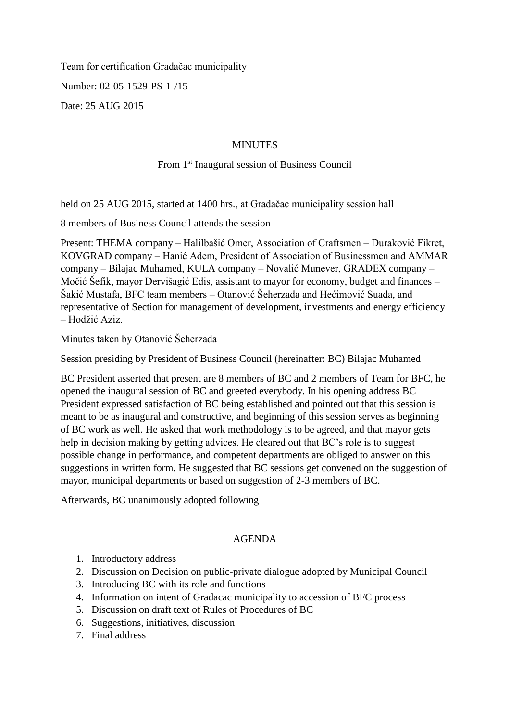Team for certification Gradačac municipality Number: 02-05-1529-PS-1-/15 Date: 25 AUG 2015

### **MINUTES**

# From 1<sup>st</sup> Inaugural session of Business Council

held on 25 AUG 2015, started at 1400 hrs., at Gradačac municipality session hall

8 members of Business Council attends the session

Present: THEMA company – Halilbašić Omer, Association of Craftsmen – Duraković Fikret, KOVGRAD company – Hanić Adem, President of Association of Businessmen and AMMAR company – Bilajac Muhamed, KULA company – Novalić Munever, GRADEX company – Močić Šefik, mayor Dervišagić Edis, assistant to mayor for economy, budget and finances – Šakić Mustafa, BFC team members – Otanović Šeherzada and Hećimović Suada, and representative of Section for management of development, investments and energy efficiency – Hodžić Aziz.

Minutes taken by Otanović Šeherzada

Session presiding by President of Business Council (hereinafter: BC) Bilajac Muhamed

BC President asserted that present are 8 members of BC and 2 members of Team for BFC, he opened the inaugural session of BC and greeted everybody. In his opening address BC President expressed satisfaction of BC being established and pointed out that this session is meant to be as inaugural and constructive, and beginning of this session serves as beginning of BC work as well. He asked that work methodology is to be agreed, and that mayor gets help in decision making by getting advices. He cleared out that BC's role is to suggest possible change in performance, and competent departments are obliged to answer on this suggestions in written form. He suggested that BC sessions get convened on the suggestion of mayor, municipal departments or based on suggestion of 2-3 members of BC.

Afterwards, BC unanimously adopted following

## AGENDA

- 1. Introductory address
- 2. Discussion on Decision on public-private dialogue adopted by Municipal Council
- 3. Introducing BC with its role and functions
- 4. Information on intent of Gradacac municipality to accession of BFC process
- 5. Discussion on draft text of Rules of Procedures of BC
- 6. Suggestions, initiatives, discussion
- 7. Final address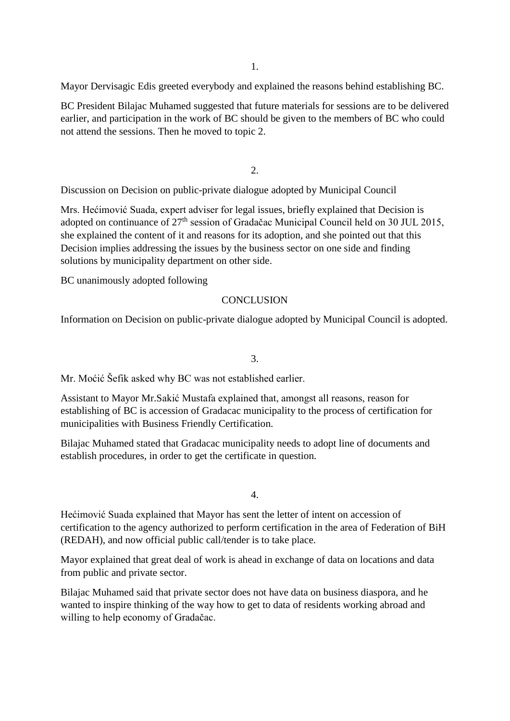Mayor Dervisagic Edis greeted everybody and explained the reasons behind establishing BC.

BC President Bilajac Muhamed suggested that future materials for sessions are to be delivered earlier, and participation in the work of BC should be given to the members of BC who could not attend the sessions. Then he moved to topic 2.

2.

Discussion on Decision on public-private dialogue adopted by Municipal Council

Mrs. Hećimović Suada, expert adviser for legal issues, briefly explained that Decision is adopted on continuance of 27<sup>th</sup> session of Gradačac Municipal Council held on 30 JUL 2015, she explained the content of it and reasons for its adoption, and she pointed out that this Decision implies addressing the issues by the business sector on one side and finding solutions by municipality department on other side.

BC unanimously adopted following

# **CONCLUSION**

Information on Decision on public-private dialogue adopted by Municipal Council is adopted.

3.

Mr. Moćić Šefik asked why BC was not established earlier.

Assistant to Mayor Mr.Sakić Mustafa explained that, amongst all reasons, reason for establishing of BC is accession of Gradacac municipality to the process of certification for municipalities with Business Friendly Certification.

Bilajac Muhamed stated that Gradacac municipality needs to adopt line of documents and establish procedures, in order to get the certificate in question.

4.

Hećimović Suada explained that Mayor has sent the letter of intent on accession of certification to the agency authorized to perform certification in the area of Federation of BiH (REDAH), and now official public call/tender is to take place.

Mayor explained that great deal of work is ahead in exchange of data on locations and data from public and private sector.

Bilajac Muhamed said that private sector does not have data on business diaspora, and he wanted to inspire thinking of the way how to get to data of residents working abroad and willing to help economy of Gradačac.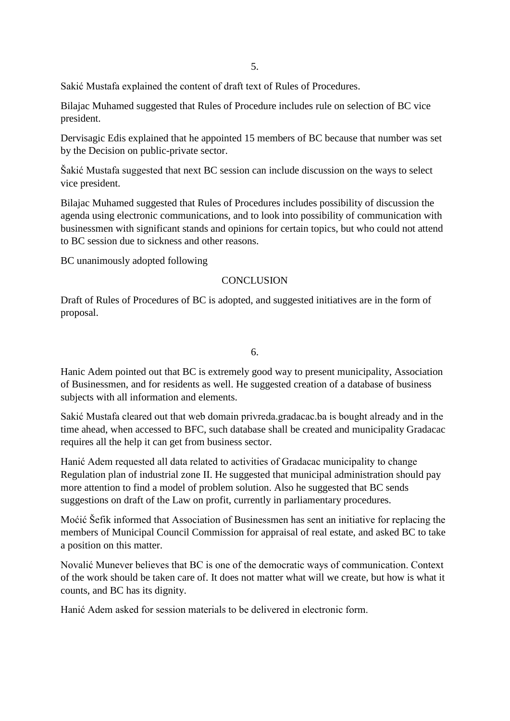Sakić Mustafa explained the content of draft text of Rules of Procedures.

Bilajac Muhamed suggested that Rules of Procedure includes rule on selection of BC vice president.

Dervisagic Edis explained that he appointed 15 members of BC because that number was set by the Decision on public-private sector.

Šakić Mustafa suggested that next BC session can include discussion on the ways to select vice president.

Bilajac Muhamed suggested that Rules of Procedures includes possibility of discussion the agenda using electronic communications, and to look into possibility of communication with businessmen with significant stands and opinions for certain topics, but who could not attend to BC session due to sickness and other reasons.

BC unanimously adopted following

### **CONCLUSION**

Draft of Rules of Procedures of BC is adopted, and suggested initiatives are in the form of proposal.

6.

Hanic Adem pointed out that BC is extremely good way to present municipality, Association of Businessmen, and for residents as well. He suggested creation of a database of business subjects with all information and elements.

Sakić Mustafa cleared out that web domain privreda.gradacac.ba is bought already and in the time ahead, when accessed to BFC, such database shall be created and municipality Gradacac requires all the help it can get from business sector.

Hanić Adem requested all data related to activities of Gradacac municipality to change Regulation plan of industrial zone II. He suggested that municipal administration should pay more attention to find a model of problem solution. Also he suggested that BC sends suggestions on draft of the Law on profit, currently in parliamentary procedures.

Moćić Šefik informed that Association of Businessmen has sent an initiative for replacing the members of Municipal Council Commission for appraisal of real estate, and asked BC to take a position on this matter.

Novalić Munever believes that BC is one of the democratic ways of communication. Context of the work should be taken care of. It does not matter what will we create, but how is what it counts, and BC has its dignity.

Hanić Adem asked for session materials to be delivered in electronic form.